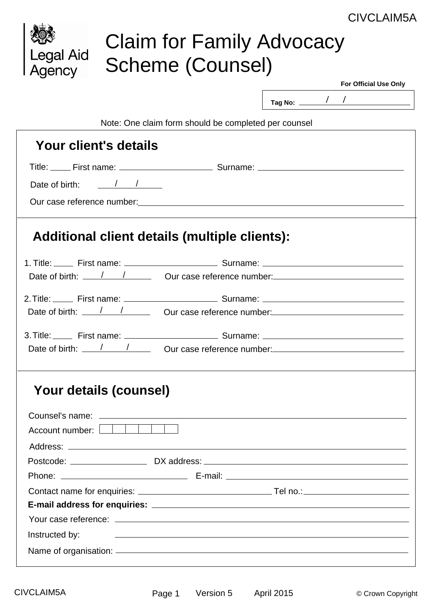## CIVCLAIM5A

| Legal Aid<br>Agency                                                                                                                                                                                                                                                                                                                                                                                       | <b>Claim for Family Advocacy</b><br>Scheme (Counsel) | <b>UIVULAIIVIJA</b>                                                                                                                                                                                                            |
|-----------------------------------------------------------------------------------------------------------------------------------------------------------------------------------------------------------------------------------------------------------------------------------------------------------------------------------------------------------------------------------------------------------|------------------------------------------------------|--------------------------------------------------------------------------------------------------------------------------------------------------------------------------------------------------------------------------------|
|                                                                                                                                                                                                                                                                                                                                                                                                           |                                                      | <b>For Official Use Only</b>                                                                                                                                                                                                   |
|                                                                                                                                                                                                                                                                                                                                                                                                           |                                                      | Tag No: $\frac{1}{\sqrt{2}}$                                                                                                                                                                                                   |
|                                                                                                                                                                                                                                                                                                                                                                                                           |                                                      |                                                                                                                                                                                                                                |
|                                                                                                                                                                                                                                                                                                                                                                                                           | Note: One claim form should be completed per counsel |                                                                                                                                                                                                                                |
| Your client's details                                                                                                                                                                                                                                                                                                                                                                                     |                                                      |                                                                                                                                                                                                                                |
|                                                                                                                                                                                                                                                                                                                                                                                                           |                                                      |                                                                                                                                                                                                                                |
| Date of birth: $\frac{1}{\sqrt{1-\frac{1}{1-\frac{1}{1-\frac{1}{1-\frac{1}{1-\frac{1}{1-\frac{1}{1-\frac{1}{1-\frac{1}{1-\frac{1}{1-\frac{1}{1-\frac{1}{1-\frac{1}{1-\frac{1}{1-\frac{1}{1-\frac{1}{1-\frac{1}{1-\frac{1}{1-\frac{1}{1-\frac{1}{1-\frac{1}{1-\frac{1}{1-\frac{1}{1-\frac{1}{1-\frac{1}{1-\frac{1}{1-\frac{1}{1-\frac{1}{1-\frac{1}{1-\frac{1}{1-\frac{1}{1-\frac{1}{1-\frac{1}{1-\frac{1$ |                                                      |                                                                                                                                                                                                                                |
| Our case reference number: example and the set of the set of the set of the set of the set of the set of the set of the set of the set of the set of the set of the set of the set of the set of the set of the set of the set                                                                                                                                                                            |                                                      |                                                                                                                                                                                                                                |
|                                                                                                                                                                                                                                                                                                                                                                                                           |                                                      |                                                                                                                                                                                                                                |
| Additional client details (multiple clients):                                                                                                                                                                                                                                                                                                                                                             |                                                      |                                                                                                                                                                                                                                |
|                                                                                                                                                                                                                                                                                                                                                                                                           |                                                      |                                                                                                                                                                                                                                |
|                                                                                                                                                                                                                                                                                                                                                                                                           |                                                      | Date of birth: \left\ \left\ \left\ \left\ \left\ \left\ \left\ \left\ \left\ \left\ \left\ \left\ \left\ \left\ \left\ \left\ \left\ \left\ \left\ \left\ \left\ \left\ \left\ \left\ \left\ \left\ \left\ \left\ \left\ \lef |
|                                                                                                                                                                                                                                                                                                                                                                                                           |                                                      |                                                                                                                                                                                                                                |
|                                                                                                                                                                                                                                                                                                                                                                                                           |                                                      | Date of birth: \left(\) \left(\) \left(\) \times \text{\) \times \text{\) \times \text{\)} \times \text{\) \times \text{\)} \times \text{\)} \text{\)} \times \text{\)} \text{\)} \text{\)} \text{\)} \text{\)} \text{\)} \tex |
|                                                                                                                                                                                                                                                                                                                                                                                                           |                                                      |                                                                                                                                                                                                                                |
|                                                                                                                                                                                                                                                                                                                                                                                                           |                                                      |                                                                                                                                                                                                                                |
|                                                                                                                                                                                                                                                                                                                                                                                                           |                                                      | Date of birth: \left(\) \left(\) \left(\) \left(\) \left(\) \left(\) \left(\) \left(\) \left(\) \left(\) \left(\) \left(\) \left(\) \left(\) \left(\) \left(\) \left(\) \left(\) \left(\) \left(\) \left(\) \left(\) \left(\)  |
| Your details (counsel)                                                                                                                                                                                                                                                                                                                                                                                    |                                                      |                                                                                                                                                                                                                                |
|                                                                                                                                                                                                                                                                                                                                                                                                           |                                                      |                                                                                                                                                                                                                                |
| Account number: IIIII                                                                                                                                                                                                                                                                                                                                                                                     |                                                      |                                                                                                                                                                                                                                |
|                                                                                                                                                                                                                                                                                                                                                                                                           |                                                      |                                                                                                                                                                                                                                |
|                                                                                                                                                                                                                                                                                                                                                                                                           |                                                      |                                                                                                                                                                                                                                |
|                                                                                                                                                                                                                                                                                                                                                                                                           |                                                      |                                                                                                                                                                                                                                |
|                                                                                                                                                                                                                                                                                                                                                                                                           |                                                      |                                                                                                                                                                                                                                |
|                                                                                                                                                                                                                                                                                                                                                                                                           |                                                      |                                                                                                                                                                                                                                |
|                                                                                                                                                                                                                                                                                                                                                                                                           |                                                      |                                                                                                                                                                                                                                |
| Instructed by:                                                                                                                                                                                                                                                                                                                                                                                            |                                                      | <u> 1980 - Andrea Santa Andrea Santa Andrea Santa Andrea Santa Andrea Santa Andrea Santa Andrea Santa Andrea San</u>                                                                                                           |
|                                                                                                                                                                                                                                                                                                                                                                                                           |                                                      |                                                                                                                                                                                                                                |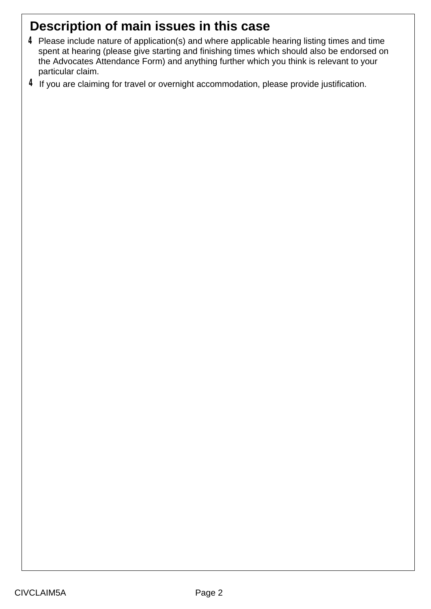# **Description of main issues in this case**

- Please include nature of application(s) and where applicable hearing listing times and time **4** spent at hearing (please give starting and finishing times which should also be endorsed on the Advocates Attendance Form) and anything further which you think is relevant to your particular claim.
- $4$  If you are claiming for travel or overnight accommodation, please provide justification.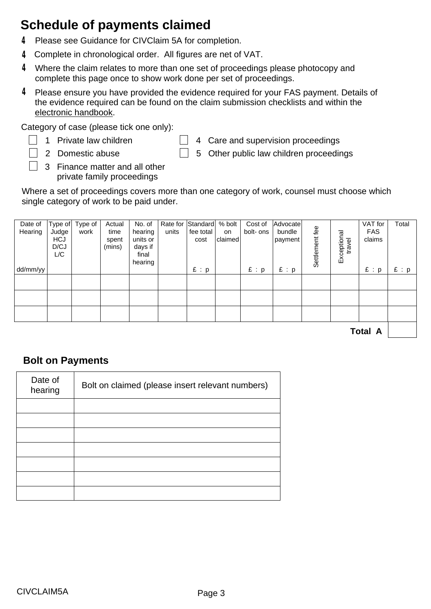## **Schedule of payments claimed**

- **4** Please see Guidance for CIVClaim 5A for completion.
- Complete in chronological order. All figures are net of VAT. **4**
- Where the claim relates to more than one set of proceedings please photocopy and **4** complete this page once to show work done per set of proceedings.
- Please ensure you have provided the evidence required for your FAS payment. Details of **4** the evidence required can be found on the claim submission checklists and within the [electronic handbook.](https://www.gov.uk/funding-and-costs-assessment-for-civil-and-crime-matters )

Category of case (please tick one only):

- 1 Private law children
- $\Box$  4 Care and supervision proceedings
- 2 Domestic abuse 3 Finance matter and all other private family proceedings
- $\Box$  5 Other public law children proceedings

Where a set of proceedings covers more than one category of work, counsel must choose which single category of work to be paid under.

| Date of<br>Hearing | Type of<br>Judge<br><b>HCJ</b><br>D/CJ<br>L/C | Type of $ $<br>work | Actual<br>time<br>spent<br>(mins) | No. of<br>hearing<br>units or<br>days if<br>final<br>hearing | units | Rate for Standard % bolt<br>fee total<br>cost | on<br>claimed | Cost of<br>bolt- ons | Advocate<br>bundle<br>payment | Settlement fee | Exceptional<br>travel | VAT for<br><b>FAS</b><br>claims | Total |
|--------------------|-----------------------------------------------|---------------------|-----------------------------------|--------------------------------------------------------------|-------|-----------------------------------------------|---------------|----------------------|-------------------------------|----------------|-----------------------|---------------------------------|-------|
| dd/mm/yy           |                                               |                     |                                   |                                                              |       | E : p                                         |               | E : p                | E : p                         |                |                       | E : p                           | E : p |
|                    |                                               |                     |                                   |                                                              |       |                                               |               |                      |                               |                |                       |                                 |       |
|                    |                                               |                     |                                   |                                                              |       |                                               |               |                      |                               |                |                       |                                 |       |
|                    |                                               |                     |                                   |                                                              |       |                                               |               |                      |                               |                |                       |                                 |       |
|                    |                                               |                     |                                   |                                                              |       |                                               |               |                      |                               |                |                       |                                 |       |

**Total A**

#### **Bolt on Payments**

| Date of<br>hearing | Bolt on claimed (please insert relevant numbers) |
|--------------------|--------------------------------------------------|
|                    |                                                  |
|                    |                                                  |
|                    |                                                  |
|                    |                                                  |
|                    |                                                  |
|                    |                                                  |
|                    |                                                  |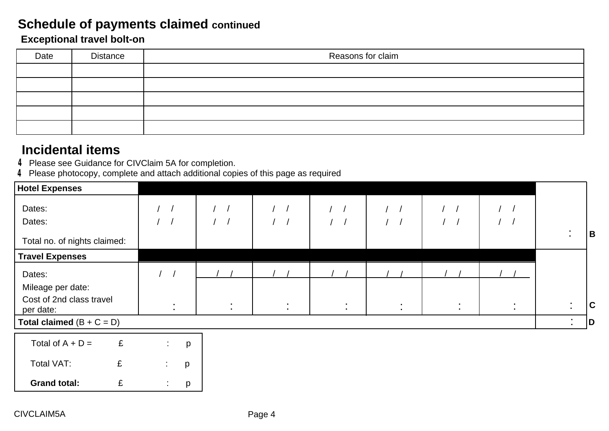### **Schedule of payments claimed continued**

#### **Exceptional travel bolt-on**

| Date | <b>Distance</b> | Reasons for claim |  |  |  |
|------|-----------------|-------------------|--|--|--|
|      |                 |                   |  |  |  |
|      |                 |                   |  |  |  |
|      |                 |                   |  |  |  |
|      |                 |                   |  |  |  |
|      |                 |                   |  |  |  |

## **Incidental items**

- **4** Please see Guidance for CIVClaim 5A for completion.
- Please photocopy, complete and attach additional copies of this page as required **4**

| Hotel Expenses                        |                      |                       |                                  |                          |                          |                          |                                  |                             |                       |             |
|---------------------------------------|----------------------|-----------------------|----------------------------------|--------------------------|--------------------------|--------------------------|----------------------------------|-----------------------------|-----------------------|-------------|
| Dates:                                | $\frac{1}{2}$        |                       | $\frac{1}{2}$                    | $\frac{1}{2}$            | $\frac{1}{2}$            | $\frac{1}{2}$            | $\frac{1}{2}$                    | $\left  \right $            |                       |             |
| Dates:                                | $\frac{1}{2}$        |                       |                                  | $\sqrt{2}$               | $\sqrt{2}$               | 1/                       | $\sqrt{2}$                       |                             |                       |             |
| Total no. of nights claimed:          |                      |                       |                                  |                          |                          |                          |                                  |                             | ٠<br>$\blacksquare$   | B           |
| <b>Travel Expenses</b>                |                      |                       |                                  |                          |                          |                          |                                  |                             |                       |             |
| Dates:                                |                      |                       |                                  |                          |                          |                          |                                  |                             |                       |             |
| Mileage per date:                     |                      |                       |                                  |                          |                          |                          |                                  |                             |                       |             |
| Cost of 2nd class travel<br>per date: |                      | $\sim$<br>$\bullet$ . | $\blacksquare$<br>$\blacksquare$ | $\sim$<br>$\blacksquare$ | $\sim$<br>$\blacksquare$ | $\sim$<br>$\blacksquare$ | $\blacksquare$<br>$\blacksquare$ | $\blacksquare$<br>$\bullet$ | ٠<br>$\bullet$        | $\mathbf C$ |
| Total claimed $(B + C = D)$           |                      |                       |                                  |                          |                          |                          |                                  |                             | $\mathbb{Z}^{\times}$ | D           |
| Total of $A + D =$<br>£               | $\mathbb{Z}^n$       | p                     |                                  |                          |                          |                          |                                  |                             |                       |             |
| £<br>Total VAT:                       | х.<br>$\blacksquare$ | p                     |                                  |                          |                          |                          |                                  |                             |                       |             |
| <b>Grand total:</b><br>£              | $\sim$               | p                     |                                  |                          |                          |                          |                                  |                             |                       |             |